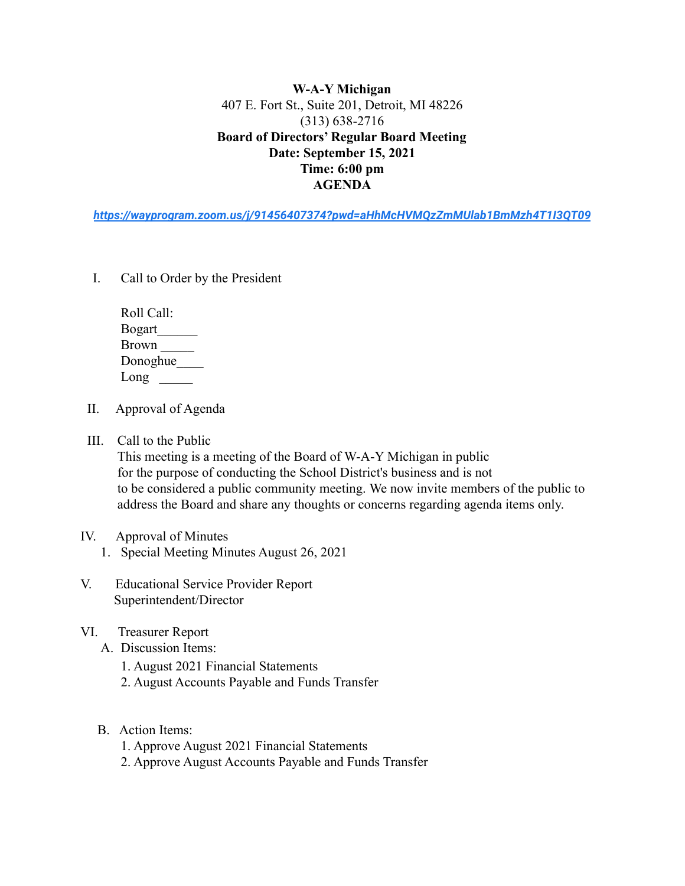**W-A-Y Michigan** 407 E. Fort St., Suite 201, Detroit, MI 48226 (313) 638-2716 **Board of Directors' Regular Board Meeting Date: September 15, 2021 Time: 6:00 pm AGENDA**

*<https://wayprogram.zoom.us/j/91456407374?pwd=aHhMcHVMQzZmMUlab1BmMzh4T1I3QT09>*

I. Call to Order by the President

| Roll Call:    |  |
|---------------|--|
| <b>Bogart</b> |  |
| <b>Brown</b>  |  |
| Donoghue      |  |
| Long          |  |

- II. Approval of Agenda
- III. Call to the Public

This meeting is a meeting of the Board of W-A-Y Michigan in public for the purpose of conducting the School District's business and is not to be considered a public community meeting. We now invite members of the public to address the Board and share any thoughts or concerns regarding agenda items only.

- IV. Approval of Minutes
	- 1. Special Meeting Minutes August 26, 2021
- V. Educational Service Provider Report Superintendent/Director
- VI. Treasurer Report
	- A. Discussion Items:
		- 1. August 2021 Financial Statements
		- 2. August Accounts Payable and Funds Transfer
	- B. Action Items:
		- 1. Approve August 2021 Financial Statements
		- 2. Approve August Accounts Payable and Funds Transfer